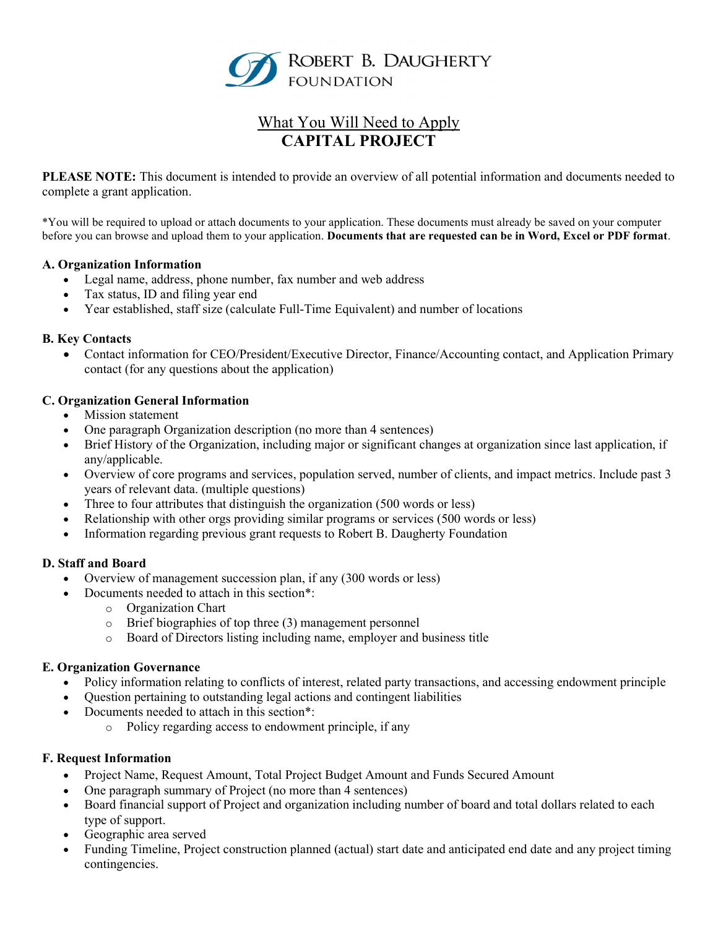

# What You Will Need to Apply CAPITAL PROJECT

PLEASE NOTE: This document is intended to provide an overview of all potential information and documents needed to complete a grant application.

\*You will be required to upload or attach documents to your application. These documents must already be saved on your computer before you can browse and upload them to your application. Documents that are requested can be in Word, Excel or PDF format.

#### A. Organization Information

- Legal name, address, phone number, fax number and web address
- Tax status, ID and filing year end
- Year established, staff size (calculate Full-Time Equivalent) and number of locations

#### B. Key Contacts

 Contact information for CEO/President/Executive Director, Finance/Accounting contact, and Application Primary contact (for any questions about the application)

## C. Organization General Information

- Mission statement
- One paragraph Organization description (no more than 4 sentences)
- Brief History of the Organization, including major or significant changes at organization since last application, if any/applicable.
- Overview of core programs and services, population served, number of clients, and impact metrics. Include past 3 years of relevant data. (multiple questions)
- Three to four attributes that distinguish the organization (500 words or less)
- Relationship with other orgs providing similar programs or services (500 words or less)
- Information regarding previous grant requests to Robert B. Daugherty Foundation

#### D. Staff and Board

- Overview of management succession plan, if any (300 words or less)
- Documents needed to attach in this section\*:
	- o Organization Chart
	- o Brief biographies of top three (3) management personnel
	- o Board of Directors listing including name, employer and business title

#### E. Organization Governance

- Policy information relating to conflicts of interest, related party transactions, and accessing endowment principle
- Question pertaining to outstanding legal actions and contingent liabilities
- Documents needed to attach in this section\*:
	- o Policy regarding access to endowment principle, if any

#### F. Request Information

- Project Name, Request Amount, Total Project Budget Amount and Funds Secured Amount
- One paragraph summary of Project (no more than 4 sentences)
- Board financial support of Project and organization including number of board and total dollars related to each type of support.
- Geographic area served
- Funding Timeline, Project construction planned (actual) start date and anticipated end date and any project timing contingencies.